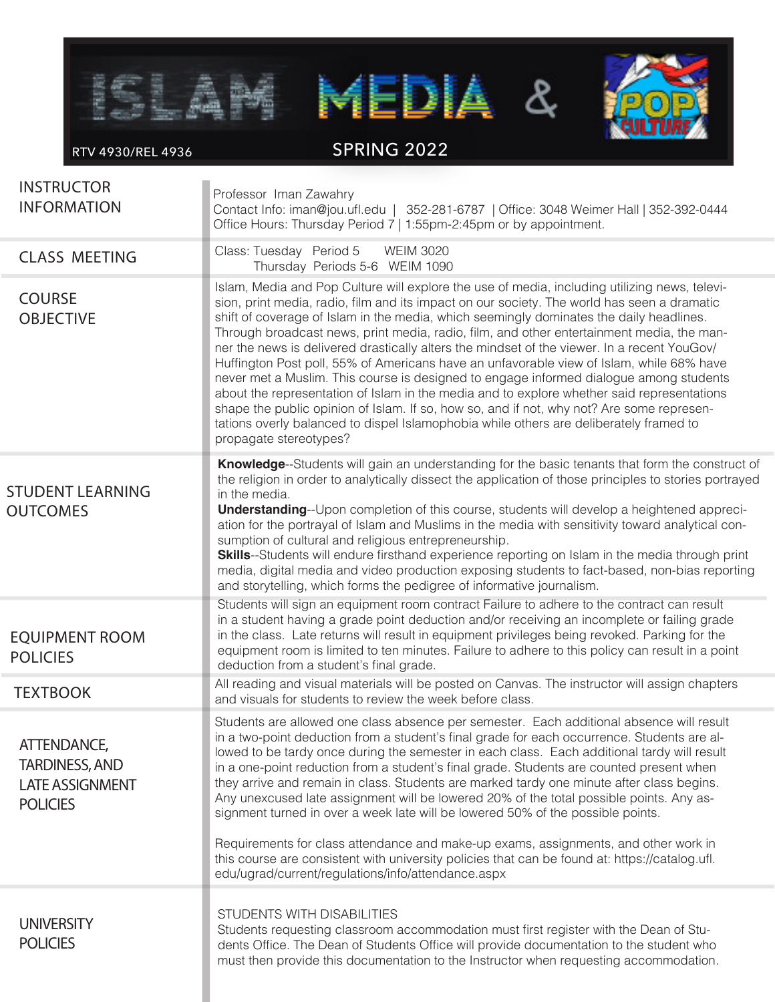

RTV 4930/REL 4936

SPRING 2022

| <b>INSTRUCTOR</b><br><b>INFORMATION</b>                                           | Professor Iman Zawahry<br>Contact Info: iman@jou.ufl.edu   352-281-6787   Office: 3048 Weimer Hall   352-392-0444<br>Office Hours: Thursday Period 7   1:55pm-2:45pm or by appointment.                                                                                                                                                                                                                                                                                                                                                                                                                                                                                                                                                                                                                                                                                                                                                                                                  |
|-----------------------------------------------------------------------------------|------------------------------------------------------------------------------------------------------------------------------------------------------------------------------------------------------------------------------------------------------------------------------------------------------------------------------------------------------------------------------------------------------------------------------------------------------------------------------------------------------------------------------------------------------------------------------------------------------------------------------------------------------------------------------------------------------------------------------------------------------------------------------------------------------------------------------------------------------------------------------------------------------------------------------------------------------------------------------------------|
| <b>CLASS MEETING</b>                                                              | Class: Tuesday Period 5<br><b>WEIM 3020</b><br>Thursday Periods 5-6 WEIM 1090                                                                                                                                                                                                                                                                                                                                                                                                                                                                                                                                                                                                                                                                                                                                                                                                                                                                                                            |
| <b>COURSE</b><br><b>OBJECTIVE</b>                                                 | Islam, Media and Pop Culture will explore the use of media, including utilizing news, televi-<br>sion, print media, radio, film and its impact on our society. The world has seen a dramatic<br>shift of coverage of Islam in the media, which seemingly dominates the daily headlines.<br>Through broadcast news, print media, radio, film, and other entertainment media, the man-<br>ner the news is delivered drastically alters the mindset of the viewer. In a recent YouGov/<br>Huffington Post poll, 55% of Americans have an unfavorable view of Islam, while 68% have<br>never met a Muslim. This course is designed to engage informed dialogue among students<br>about the representation of Islam in the media and to explore whether said representations<br>shape the public opinion of Islam. If so, how so, and if not, why not? Are some represen-<br>tations overly balanced to dispel Islamophobia while others are deliberately framed to<br>propagate stereotypes? |
| <b>STUDENT LEARNING</b><br><b>OUTCOMES</b>                                        | Knowledge--Students will gain an understanding for the basic tenants that form the construct of<br>the religion in order to analytically dissect the application of those principles to stories portrayed<br>in the media.<br><b>Understanding--</b> Upon completion of this course, students will develop a heightened appreci-<br>ation for the portrayal of Islam and Muslims in the media with sensitivity toward analytical con-<br>sumption of cultural and religious entrepreneurship.<br><b>Skills--</b> Students will endure firsthand experience reporting on Islam in the media through print<br>media, digital media and video production exposing students to fact-based, non-bias reporting<br>and storytelling, which forms the pedigree of informative journalism.                                                                                                                                                                                                       |
| <b>EQUIPMENT ROOM</b><br><b>POLICIES</b>                                          | Students will sign an equipment room contract Failure to adhere to the contract can result<br>in a student having a grade point deduction and/or receiving an incomplete or failing grade<br>in the class. Late returns will result in equipment privileges being revoked. Parking for the<br>equipment room is limited to ten minutes. Failure to adhere to this policy can result in a point<br>deduction from a student's final grade.                                                                                                                                                                                                                                                                                                                                                                                                                                                                                                                                                |
| <b>TEXTBOOK</b>                                                                   | All reading and visual materials will be posted on Canvas. The instructor will assign chapters<br>and visuals for students to review the week before class.                                                                                                                                                                                                                                                                                                                                                                                                                                                                                                                                                                                                                                                                                                                                                                                                                              |
| ATTENDANCE,<br><b>TARDINESS, AND</b><br><b>LATE ASSIGNMENT</b><br><b>POLICIES</b> | Students are allowed one class absence per semester. Each additional absence will result<br>in a two-point deduction from a student's final grade for each occurrence. Students are al-<br>lowed to be tardy once during the semester in each class. Each additional tardy will result<br>in a one-point reduction from a student's final grade. Students are counted present when<br>they arrive and remain in class. Students are marked tardy one minute after class begins.<br>Any unexcused late assignment will be lowered 20% of the total possible points. Any as-<br>signment turned in over a week late will be lowered 50% of the possible points.<br>Requirements for class attendance and make-up exams, assignments, and other work in                                                                                                                                                                                                                                     |
|                                                                                   | this course are consistent with university policies that can be found at: https://catalog.ufl.<br>edu/ugrad/current/regulations/info/attendance.aspx                                                                                                                                                                                                                                                                                                                                                                                                                                                                                                                                                                                                                                                                                                                                                                                                                                     |
| <b>UNIVERSITY</b><br><b>POLICIES</b>                                              | STUDENTS WITH DISABILITIES<br>Students requesting classroom accommodation must first register with the Dean of Stu-<br>dents Office. The Dean of Students Office will provide documentation to the student who<br>must then provide this documentation to the Instructor when requesting accommodation.                                                                                                                                                                                                                                                                                                                                                                                                                                                                                                                                                                                                                                                                                  |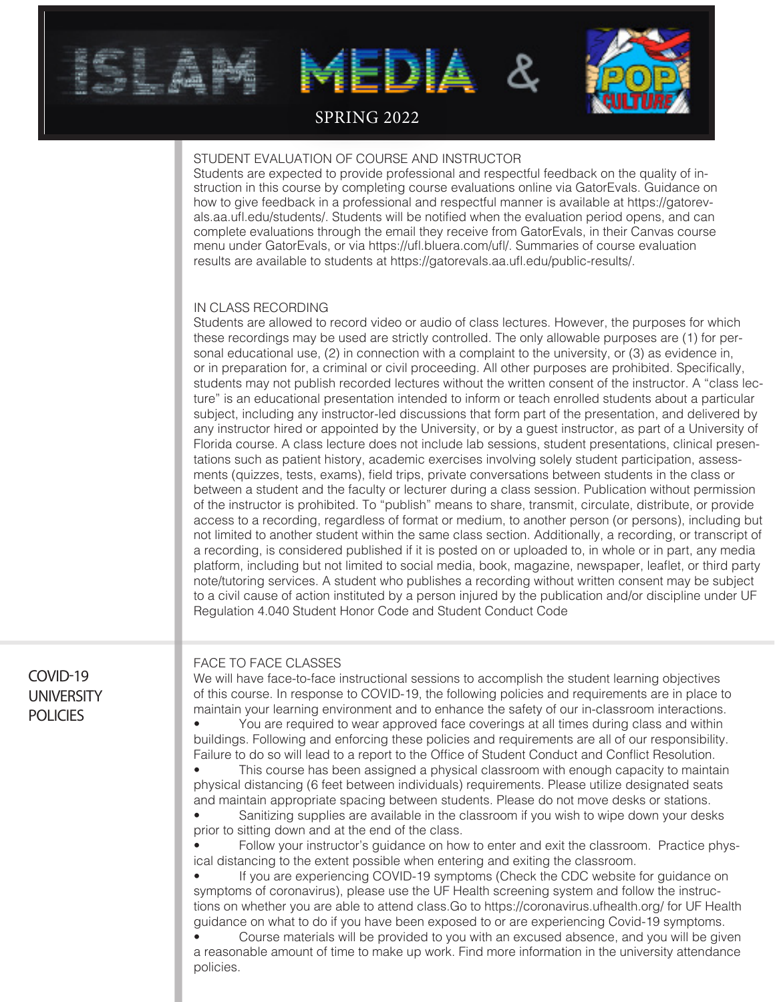

## SPRING 2022

#### STUDENT EVALUATION OF COURSE AND INSTRUCTOR

Students are expected to provide professional and respectful feedback on the quality of instruction in this course by completing course evaluations online via GatorEvals. Guidance on how to give feedback in a professional and respectful manner is available at https://gatorevals.aa.ufl.edu/students/. Students will be notified when the evaluation period opens, and can complete evaluations through the email they receive from GatorEvals, in their Canvas course menu under GatorEvals, or via https://ufl.bluera.com/ufl/. Summaries of course evaluation results are available to students at https://gatorevals.aa.ufl.edu/public-results/.

#### IN CLASS RECORDING

Students are allowed to record video or audio of class lectures. However, the purposes for which these recordings may be used are strictly controlled. The only allowable purposes are (1) for personal educational use, (2) in connection with a complaint to the university, or (3) as evidence in, or in preparation for, a criminal or civil proceeding. All other purposes are prohibited. Specifically, students may not publish recorded lectures without the written consent of the instructor. A "class lecture" is an educational presentation intended to inform or teach enrolled students about a particular subject, including any instructor-led discussions that form part of the presentation, and delivered by any instructor hired or appointed by the University, or by a guest instructor, as part of a University of Florida course. A class lecture does not include lab sessions, student presentations, clinical presentations such as patient history, academic exercises involving solely student participation, assessments (quizzes, tests, exams), field trips, private conversations between students in the class or between a student and the faculty or lecturer during a class session. Publication without permission of the instructor is prohibited. To "publish" means to share, transmit, circulate, distribute, or provide access to a recording, regardless of format or medium, to another person (or persons), including but not limited to another student within the same class section. Additionally, a recording, or transcript of a recording, is considered published if it is posted on or uploaded to, in whole or in part, any media platform, including but not limited to social media, book, magazine, newspaper, leaflet, or third party note/tutoring services. A student who publishes a recording without written consent may be subject to a civil cause of action instituted by a person injured by the publication and/or discipline under UF Regulation 4.040 Student Honor Code and Student Conduct Code

## COVID-19 **UNIVERSITY POLICIES**

#### FACE TO FACE CLASSES

We will have face-to-face instructional sessions to accomplish the student learning objectives of this course. In response to COVID-19, the following policies and requirements are in place to maintain your learning environment and to enhance the safety of our in-classroom interactions.

• You are required to wear approved face coverings at all times during class and within buildings. Following and enforcing these policies and requirements are all of our responsibility. Failure to do so will lead to a report to the Office of Student Conduct and Conflict Resolution.

• This course has been assigned a physical classroom with enough capacity to maintain physical distancing (6 feet between individuals) requirements. Please utilize designated seats and maintain appropriate spacing between students. Please do not move desks or stations.

• Sanitizing supplies are available in the classroom if you wish to wipe down your desks prior to sitting down and at the end of the class.

• Follow your instructor's guidance on how to enter and exit the classroom. Practice physical distancing to the extent possible when entering and exiting the classroom.

If you are experiencing COVID-19 symptoms (Check the CDC website for guidance on symptoms of coronavirus), please use the UF Health screening system and follow the instructions on whether you are able to attend class.Go to https://coronavirus.ufhealth.org/ for UF Health guidance on what to do if you have been exposed to or are experiencing Covid-19 symptoms.

• Course materials will be provided to you with an excused absence, and you will be given a reasonable amount of time to make up work. Find more information in the university attendance policies.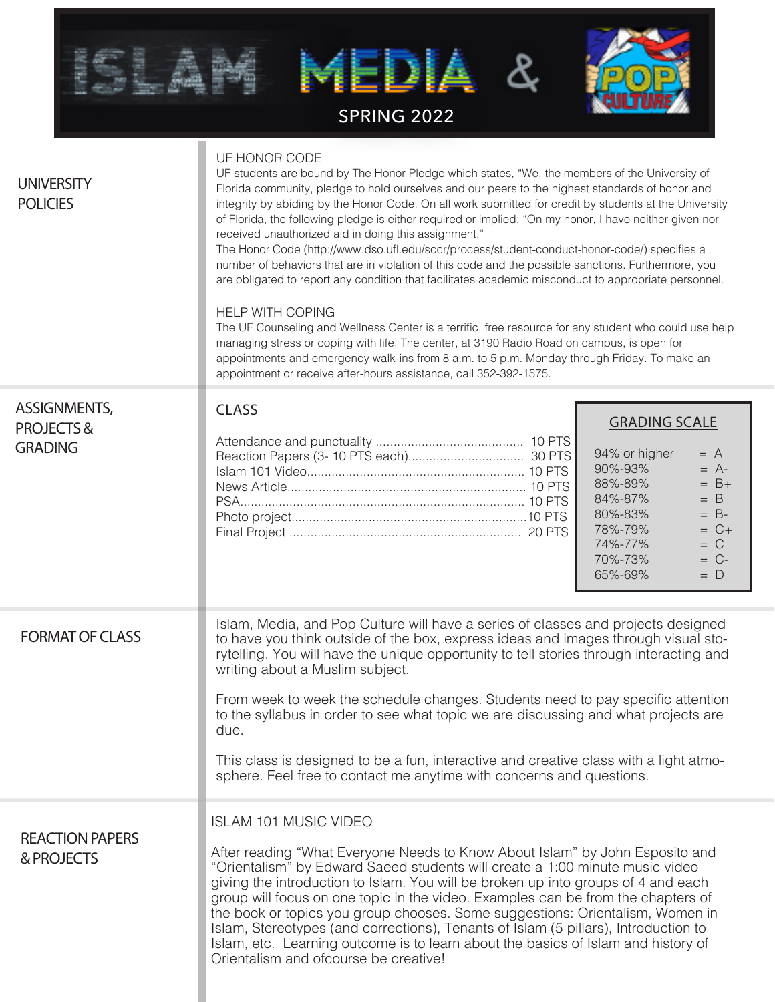|                                                    | <b>SPRING 2022</b>                                                                                                                                                                                                                                                                                                                                                                                                                                                                                                                                                                                                                                                                                                                                                                                                                                                                                                                                                                                                                                                                                                                                                                                                 |                                                                                                                                                                                                                         |  |  |  |
|----------------------------------------------------|--------------------------------------------------------------------------------------------------------------------------------------------------------------------------------------------------------------------------------------------------------------------------------------------------------------------------------------------------------------------------------------------------------------------------------------------------------------------------------------------------------------------------------------------------------------------------------------------------------------------------------------------------------------------------------------------------------------------------------------------------------------------------------------------------------------------------------------------------------------------------------------------------------------------------------------------------------------------------------------------------------------------------------------------------------------------------------------------------------------------------------------------------------------------------------------------------------------------|-------------------------------------------------------------------------------------------------------------------------------------------------------------------------------------------------------------------------|--|--|--|
| <b>UNIVERSITY</b><br><b>POLICIES</b>               | UF HONOR CODE<br>UF students are bound by The Honor Pledge which states, "We, the members of the University of<br>Florida community, pledge to hold ourselves and our peers to the highest standards of honor and<br>integrity by abiding by the Honor Code. On all work submitted for credit by students at the University<br>of Florida, the following pledge is either required or implied: "On my honor, I have neither given nor<br>received unauthorized aid in doing this assignment."<br>The Honor Code (http://www.dso.ufl.edu/sccr/process/student-conduct-honor-code/) specifies a<br>number of behaviors that are in violation of this code and the possible sanctions. Furthermore, you<br>are obligated to report any condition that facilitates academic misconduct to appropriate personnel.<br><b>HELP WITH COPING</b><br>The UF Counseling and Wellness Center is a terrific, free resource for any student who could use help<br>managing stress or coping with life. The center, at 3190 Radio Road on campus, is open for<br>appointments and emergency walk-ins from 8 a.m. to 5 p.m. Monday through Friday. To make an<br>appointment or receive after-hours assistance, call 352-392-1575. |                                                                                                                                                                                                                         |  |  |  |
| <b>ASSIGNMENTS,</b><br>PROJECTS&<br><b>GRADING</b> | <b>CLASS</b>                                                                                                                                                                                                                                                                                                                                                                                                                                                                                                                                                                                                                                                                                                                                                                                                                                                                                                                                                                                                                                                                                                                                                                                                       | <b>GRADING SCALE</b><br>94% or higher<br>$= A$<br>90%-93%<br>$= A$ -<br>88%-89%<br>$= B+$<br>84%-87%<br>$= B$<br>80%-83%<br>$= B$ -<br>78%-79%<br>$= C +$<br>74%-77%<br>$= C$<br>70%-73%<br>$= C$ -<br>65%-69%<br>$= D$ |  |  |  |
| <b>FORMAT OF CLASS</b>                             | Islam, Media, and Pop Culture will have a series of classes and projects designed<br>to have you think outside of the box, express ideas and images through visual sto-<br>rytelling. You will have the unique opportunity to tell stories through interacting and<br>writing about a Muslim subject.<br>From week to week the schedule changes. Students need to pay specific attention<br>to the syllabus in order to see what topic we are discussing and what projects are<br>due.<br>This class is designed to be a fun, interactive and creative class with a light atmo-<br>sphere. Feel free to contact me anytime with concerns and questions.                                                                                                                                                                                                                                                                                                                                                                                                                                                                                                                                                            |                                                                                                                                                                                                                         |  |  |  |
| <b>REACTION PAPERS</b><br>& PROJECTS               | <b>ISLAM 101 MUSIC VIDEO</b><br>After reading "What Everyone Needs to Know About Islam" by John Esposito and<br>"Orientalism" by Edward Saeed students will create a 1:00 minute music video<br>giving the introduction to Islam. You will be broken up into groups of 4 and each<br>group will focus on one topic in the video. Examples can be from the chapters of<br>the book or topics you group chooses. Some suggestions: Orientalism, Women in<br>Islam, Stereotypes (and corrections), Tenants of Islam (5 pillars), Introduction to<br>Islam, etc. Learning outcome is to learn about the basics of Islam and history of<br>Orientalism and ofcourse be creative!                                                                                                                                                                                                                                                                                                                                                                                                                                                                                                                                        |                                                                                                                                                                                                                         |  |  |  |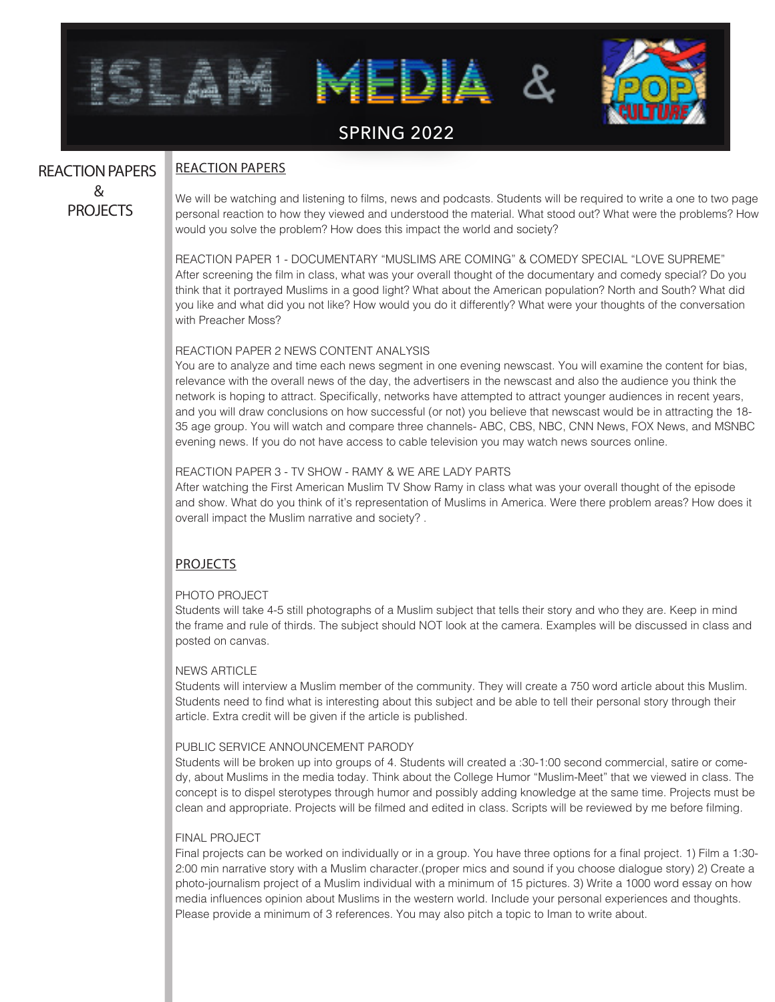

# REACTION PAPERS & PROJECTS

### REACTION PAPERS

We will be watching and listening to films, news and podcasts. Students will be required to write a one to two page personal reaction to how they viewed and understood the material. What stood out? What were the problems? How would you solve the problem? How does this impact the world and society?

REACTION PAPER 1 - DOCUMENTARY "MUSLIMS ARE COMING" & COMEDY SPECIAL "LOVE SUPREME" After screening the film in class, what was your overall thought of the documentary and comedy special? Do you think that it portrayed Muslims in a good light? What about the American population? North and South? What did you like and what did you not like? How would you do it differently? What were your thoughts of the conversation with Preacher Moss?

#### REACTION PAPER 2 NEWS CONTENT ANALYSIS

You are to analyze and time each news segment in one evening newscast. You will examine the content for bias, relevance with the overall news of the day, the advertisers in the newscast and also the audience you think the network is hoping to attract. Specifically, networks have attempted to attract younger audiences in recent years, and you will draw conclusions on how successful (or not) you believe that newscast would be in attracting the 18- 35 age group. You will watch and compare three channels- ABC, CBS, NBC, CNN News, FOX News, and MSNBC evening news. If you do not have access to cable television you may watch news sources online.

#### REACTION PAPER 3 - TV SHOW - RAMY & WE ARE LADY PARTS

After watching the First American Muslim TV Show Ramy in class what was your overall thought of the episode and show. What do you think of it's representation of Muslims in America. Were there problem areas? How does it overall impact the Muslim narrative and society? .

## PROJECTS

#### PHOTO PROJECT

Students will take 4-5 still photographs of a Muslim subject that tells their story and who they are. Keep in mind the frame and rule of thirds. The subject should NOT look at the camera. Examples will be discussed in class and posted on canvas.

#### NEWS ARTICLE

Students will interview a Muslim member of the community. They will create a 750 word article about this Muslim. Students need to find what is interesting about this subject and be able to tell their personal story through their article. Extra credit will be given if the article is published.

#### PUBLIC SERVICE ANNOUNCEMENT PARODY

Students will be broken up into groups of 4. Students will created a :30-1:00 second commercial, satire or comedy, about Muslims in the media today. Think about the College Humor "Muslim-Meet" that we viewed in class. The concept is to dispel sterotypes through humor and possibly adding knowledge at the same time. Projects must be clean and appropriate. Projects will be filmed and edited in class. Scripts will be reviewed by me before filming.

#### FINAL PROJECT

Final projects can be worked on individually or in a group. You have three options for a final project. 1) Film a 1:30- 2:00 min narrative story with a Muslim character.(proper mics and sound if you choose dialogue story) 2) Create a photo-journalism project of a Muslim individual with a minimum of 15 pictures. 3) Write a 1000 word essay on how media influences opinion about Muslims in the western world. Include your personal experiences and thoughts. Please provide a minimum of 3 references. You may also pitch a topic to Iman to write about.